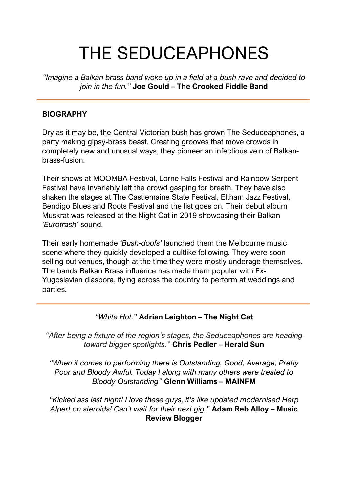# THE SEDUCEAPHONES

*"Imagine a Balkan brass band woke up in a field at a bush rave and decided to join in the fun."* **Joe Gould – The Crooked Fiddle Band**

#### **BIOGRAPHY**

Dry as it may be, the Central Victorian bush has grown The Seduceaphones, a party making gipsy-brass beast. Creating grooves that move crowds in completely new and unusual ways, they pioneer an infectious vein of Balkanbrass-fusion.

Their shows at MOOMBA Festival, Lorne Falls Festival and Rainbow Serpent Festival have invariably left the crowd gasping for breath. They have also shaken the stages at The Castlemaine State Festival, Eltham Jazz Festival, Bendigo Blues and Roots Festival and the list goes on. Their debut album Muskrat was released at the Night Cat in 2019 showcasing their Balkan *'Eurotrash'* sound.

Their early homemade *'Bush-doofs'* launched them the Melbourne music scene where they quickly developed a cultlike following. They were soon selling out venues, though at the time they were mostly underage themselves. The bands Balkan Brass influence has made them popular with Ex-Yugoslavian diaspora, flying across the country to perform at weddings and parties.

#### *"White Hot."* **Adrian Leighton – The Night Cat**

*"After being a fixture of the region's stages, the Seduceaphones are heading toward bigger spotlights."* **Chris Pedler – Herald Sun**

*"When it comes to performing there is Outstanding, Good, Average, Pretty Poor and Bloody Awful. Today I along with many others were treated to Bloody Outstanding"* **Glenn Williams – MAINFM**

*"Kicked ass last night! I love these guys, it's like updated modernised Herp Alpert on steroids! Can't wait for their next gig."* **Adam Reb Alloy – Music Review Blogger**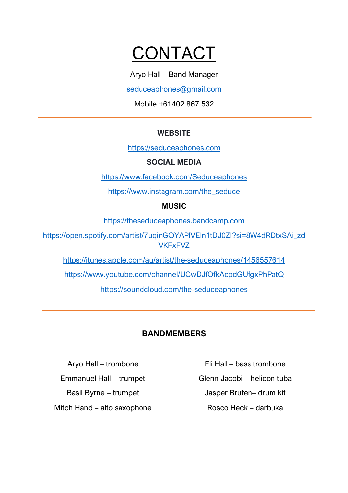## **CONTACT**

Aryo Hall – Band Manager

seduceaphones@gmail.com

Mobile +61402 867 532

### **WEBSITE**

https://seduceaphones.com

#### **SOCIAL MEDIA**

https://www.facebook.com/Seduceaphones

https://www.instagram.com/the\_seduce

### **MUSIC**

https://theseduceaphones.bandcamp.com

https://open.spotify.com/artist/7uqinGOYAPlVEln1tDJ0ZI?si=8W4dRDtxSAi\_zd **VKFxFVZ** 

https://itunes.apple.com/au/artist/the-seduceaphones/1456557614

https://www.youtube.com/channel/UCwDJfOfkAcpdGUfgxPhPatQ

https://soundcloud.com/the-seduceaphones

### **BANDMEMBERS**

Aryo Hall – trombone Emmanuel Hall – trumpet Basil Byrne – trumpet Mitch Hand – alto saxophone Eli Hall – bass trombone

Glenn Jacobi – helicon tuba

Jasper Bruten– drum kit

Rosco Heck – darbuka